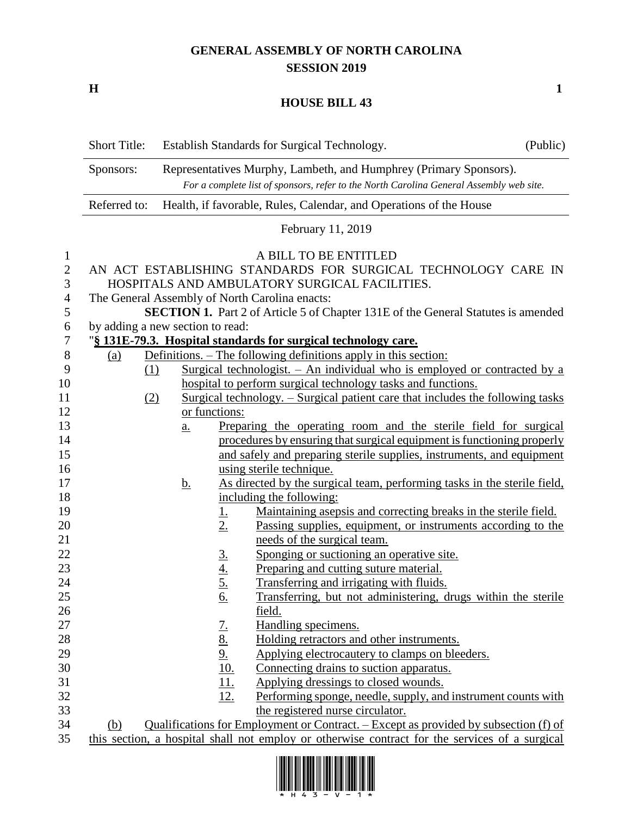## **GENERAL ASSEMBLY OF NORTH CAROLINA SESSION 2019**

**H 1**

## **HOUSE BILL 43**

|                   | <b>Short Title:</b>                            |                                                                                                                                                              |                                     | Establish Standards for Surgical Technology.                                                                   | (Public) |  |  |  |
|-------------------|------------------------------------------------|--------------------------------------------------------------------------------------------------------------------------------------------------------------|-------------------------------------|----------------------------------------------------------------------------------------------------------------|----------|--|--|--|
|                   | Sponsors:                                      | Representatives Murphy, Lambeth, and Humphrey (Primary Sponsors).<br>For a complete list of sponsors, refer to the North Carolina General Assembly web site. |                                     |                                                                                                                |          |  |  |  |
|                   | Referred to:                                   | Health, if favorable, Rules, Calendar, and Operations of the House                                                                                           |                                     |                                                                                                                |          |  |  |  |
|                   |                                                |                                                                                                                                                              |                                     | February 11, 2019                                                                                              |          |  |  |  |
| $\mathbf{1}$      |                                                |                                                                                                                                                              |                                     | A BILL TO BE ENTITLED                                                                                          |          |  |  |  |
| $\mathbf{2}$<br>3 |                                                |                                                                                                                                                              |                                     | AN ACT ESTABLISHING STANDARDS FOR SURGICAL TECHNOLOGY CARE IN<br>HOSPITALS AND AMBULATORY SURGICAL FACILITIES. |          |  |  |  |
| 4                 | The General Assembly of North Carolina enacts: |                                                                                                                                                              |                                     |                                                                                                                |          |  |  |  |
| 5                 |                                                | <b>SECTION 1.</b> Part 2 of Article 5 of Chapter 131E of the General Statutes is amended                                                                     |                                     |                                                                                                                |          |  |  |  |
| 6                 | by adding a new section to read:               |                                                                                                                                                              |                                     |                                                                                                                |          |  |  |  |
| 7                 |                                                |                                                                                                                                                              |                                     | "§ 131E-79.3. Hospital standards for surgical technology care.                                                 |          |  |  |  |
| $8\phantom{1}$    | <u>(a)</u>                                     |                                                                                                                                                              |                                     | Definitions. – The following definitions apply in this section:                                                |          |  |  |  |
| 9                 | (1)                                            |                                                                                                                                                              |                                     | Surgical technologist. $-$ An individual who is employed or contracted by a                                    |          |  |  |  |
| 10                |                                                |                                                                                                                                                              |                                     | hospital to perform surgical technology tasks and functions.                                                   |          |  |  |  |
| 11                |                                                | <u>Surgical technology. – Surgical patient care that includes the following tasks</u><br>(2)                                                                 |                                     |                                                                                                                |          |  |  |  |
| 12                |                                                |                                                                                                                                                              | or functions:                       |                                                                                                                |          |  |  |  |
| 13                |                                                | a.                                                                                                                                                           |                                     | Preparing the operating room and the sterile field for surgical                                                |          |  |  |  |
| 14                |                                                |                                                                                                                                                              |                                     | procedures by ensuring that surgical equipment is functioning properly                                         |          |  |  |  |
| 15                |                                                |                                                                                                                                                              |                                     | and safely and preparing sterile supplies, instruments, and equipment                                          |          |  |  |  |
| 16                |                                                |                                                                                                                                                              |                                     | using sterile technique.                                                                                       |          |  |  |  |
| 17                |                                                | <u>b.</u>                                                                                                                                                    |                                     | As directed by the surgical team, performing tasks in the sterile field,                                       |          |  |  |  |
| 18                |                                                |                                                                                                                                                              |                                     | including the following:                                                                                       |          |  |  |  |
| 19                |                                                |                                                                                                                                                              | <u>1.</u>                           | Maintaining asepsis and correcting breaks in the sterile field.                                                |          |  |  |  |
| 20                |                                                |                                                                                                                                                              | 2.                                  | <u>Passing supplies, equipment, or instruments according to the</u>                                            |          |  |  |  |
| 21                |                                                |                                                                                                                                                              |                                     | needs of the surgical team.                                                                                    |          |  |  |  |
| 22                |                                                |                                                                                                                                                              | $rac{3}{4}$<br>$rac{4}{5}$          | Sponging or suctioning an operative site.                                                                      |          |  |  |  |
| 23                |                                                |                                                                                                                                                              |                                     | Preparing and cutting suture material.                                                                         |          |  |  |  |
| 24<br>25          |                                                |                                                                                                                                                              |                                     | Transferring and irrigating with fluids.                                                                       |          |  |  |  |
|                   |                                                |                                                                                                                                                              | <u>6.</u>                           | Transferring, but not administering, drugs within the sterile                                                  |          |  |  |  |
| 26<br>27          |                                                |                                                                                                                                                              |                                     | <u>field.</u><br>Handling specimens.                                                                           |          |  |  |  |
| 28                |                                                |                                                                                                                                                              | $\frac{7.}{8.}$<br>$\frac{9.}{10.}$ | Holding retractors and other instruments.                                                                      |          |  |  |  |
| 29                |                                                |                                                                                                                                                              |                                     | Applying electrocautery to clamps on bleeders.                                                                 |          |  |  |  |
| 30                |                                                |                                                                                                                                                              |                                     | Connecting drains to suction apparatus.                                                                        |          |  |  |  |
| 31                |                                                |                                                                                                                                                              | <u>11.</u>                          | Applying dressings to closed wounds.                                                                           |          |  |  |  |
| 32                |                                                |                                                                                                                                                              | <u>12.</u>                          | Performing sponge, needle, supply, and instrument counts with                                                  |          |  |  |  |
| 33                |                                                |                                                                                                                                                              |                                     | the registered nurse circulator.                                                                               |          |  |  |  |
| 34                | (b)                                            |                                                                                                                                                              |                                     | Qualifications for Employment or Contract. – Except as provided by subsection (f) of                           |          |  |  |  |
| 35                |                                                |                                                                                                                                                              |                                     | this section, a hospital shall not employ or otherwise contract for the services of a surgical                 |          |  |  |  |

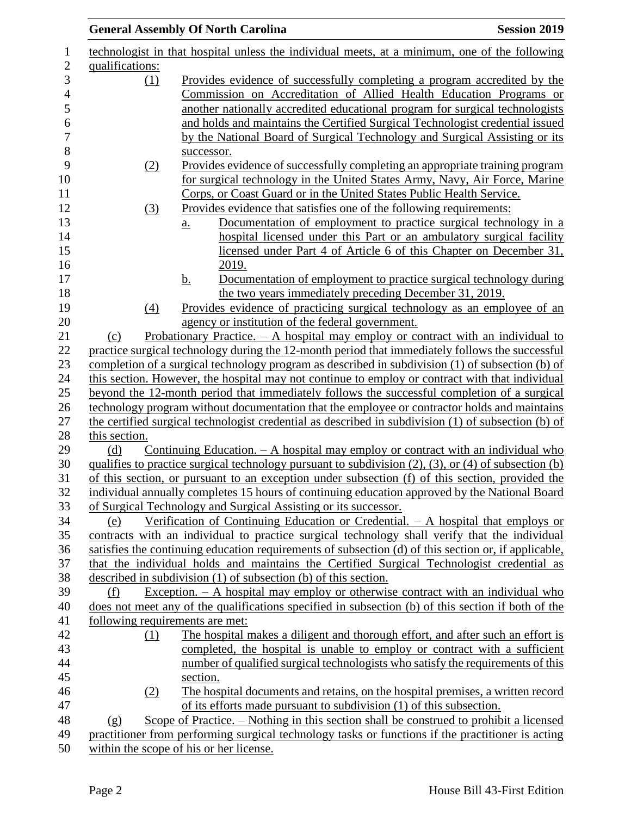|                                         | <b>General Assembly Of North Carolina</b>                                                                                                                                                               | <b>Session 2019</b> |  |  |
|-----------------------------------------|---------------------------------------------------------------------------------------------------------------------------------------------------------------------------------------------------------|---------------------|--|--|
|                                         | technologist in that hospital unless the individual meets, at a minimum, one of the following                                                                                                           |                     |  |  |
| qualifications:                         |                                                                                                                                                                                                         |                     |  |  |
| (1)                                     | Provides evidence of successfully completing a program accredited by the                                                                                                                                |                     |  |  |
|                                         | Commission on Accreditation of Allied Health Education Programs or                                                                                                                                      |                     |  |  |
|                                         | another nationally accredited educational program for surgical technologists                                                                                                                            |                     |  |  |
|                                         | and holds and maintains the Certified Surgical Technologist credential issued                                                                                                                           |                     |  |  |
|                                         | by the National Board of Surgical Technology and Surgical Assisting or its                                                                                                                              |                     |  |  |
|                                         | successor.                                                                                                                                                                                              |                     |  |  |
| (2)                                     | Provides evidence of successfully completing an appropriate training program                                                                                                                            |                     |  |  |
|                                         | for surgical technology in the United States Army, Navy, Air Force, Marine                                                                                                                              |                     |  |  |
|                                         | Corps, or Coast Guard or in the United States Public Health Service.                                                                                                                                    |                     |  |  |
| (3)                                     | Provides evidence that satisfies one of the following requirements:                                                                                                                                     |                     |  |  |
|                                         | Documentation of employment to practice surgical technology in a<br>a.                                                                                                                                  |                     |  |  |
|                                         | hospital licensed under this Part or an ambulatory surgical facility                                                                                                                                    |                     |  |  |
|                                         | licensed under Part 4 of Article 6 of this Chapter on December 31,                                                                                                                                      |                     |  |  |
|                                         | 2019.                                                                                                                                                                                                   |                     |  |  |
|                                         | Documentation of employment to practice surgical technology during<br><u>b.</u>                                                                                                                         |                     |  |  |
|                                         | the two years immediately preceding December 31, 2019.                                                                                                                                                  |                     |  |  |
| (4)                                     | Provides evidence of practicing surgical technology as an employee of an                                                                                                                                |                     |  |  |
|                                         | agency or institution of the federal government.                                                                                                                                                        |                     |  |  |
| (c)                                     | Probationary Practice. $-$ A hospital may employ or contract with an individual to                                                                                                                      |                     |  |  |
|                                         | practice surgical technology during the 12-month period that immediately follows the successful                                                                                                         |                     |  |  |
|                                         | completion of a surgical technology program as described in subdivision (1) of subsection (b) of                                                                                                        |                     |  |  |
|                                         | this section. However, the hospital may not continue to employ or contract with that individual                                                                                                         |                     |  |  |
|                                         | beyond the 12-month period that immediately follows the successful completion of a surgical                                                                                                             |                     |  |  |
|                                         | technology program without documentation that the employee or contractor holds and maintains                                                                                                            |                     |  |  |
|                                         | the certified surgical technologist credential as described in subdivision (1) of subsection (b) of                                                                                                     |                     |  |  |
| this section.                           |                                                                                                                                                                                                         |                     |  |  |
| (d)                                     | Continuing Education. $- A$ hospital may employ or contract with an individual who                                                                                                                      |                     |  |  |
|                                         | qualifies to practice surgical technology pursuant to subdivision (2), (3), or (4) of subsection (b)<br>of this section, or pursuant to an exception under subsection (f) of this section, provided the |                     |  |  |
|                                         | individual annually completes 15 hours of continuing education approved by the National Board                                                                                                           |                     |  |  |
|                                         | of Surgical Technology and Surgical Assisting or its successor.                                                                                                                                         |                     |  |  |
| (e)                                     | Verification of Continuing Education or Credential. $- A$ hospital that employs or                                                                                                                      |                     |  |  |
|                                         | contracts with an individual to practice surgical technology shall verify that the individual                                                                                                           |                     |  |  |
|                                         | satisfies the continuing education requirements of subsection (d) of this section or, if applicable,                                                                                                    |                     |  |  |
|                                         | that the individual holds and maintains the Certified Surgical Technologist credential as                                                                                                               |                     |  |  |
|                                         | described in subdivision $(1)$ of subsection $(b)$ of this section.                                                                                                                                     |                     |  |  |
| (f)                                     | Exception. $-$ A hospital may employ or otherwise contract with an individual who                                                                                                                       |                     |  |  |
|                                         | does not meet any of the qualifications specified in subsection (b) of this section if both of the                                                                                                      |                     |  |  |
|                                         | following requirements are met:                                                                                                                                                                         |                     |  |  |
| (1)                                     | The hospital makes a diligent and thorough effort, and after such an effort is                                                                                                                          |                     |  |  |
|                                         | completed, the hospital is unable to employ or contract with a sufficient                                                                                                                               |                     |  |  |
|                                         | number of qualified surgical technologists who satisfy the requirements of this                                                                                                                         |                     |  |  |
|                                         | section.                                                                                                                                                                                                |                     |  |  |
| (2)                                     | The hospital documents and retains, on the hospital premises, a written record                                                                                                                          |                     |  |  |
|                                         | of its efforts made pursuant to subdivision (1) of this subsection.                                                                                                                                     |                     |  |  |
| (g)                                     | Scope of Practice. – Nothing in this section shall be construed to prohibit a licensed                                                                                                                  |                     |  |  |
|                                         | practitioner from performing surgical technology tasks or functions if the practitioner is acting                                                                                                       |                     |  |  |
| within the scope of his or her license. |                                                                                                                                                                                                         |                     |  |  |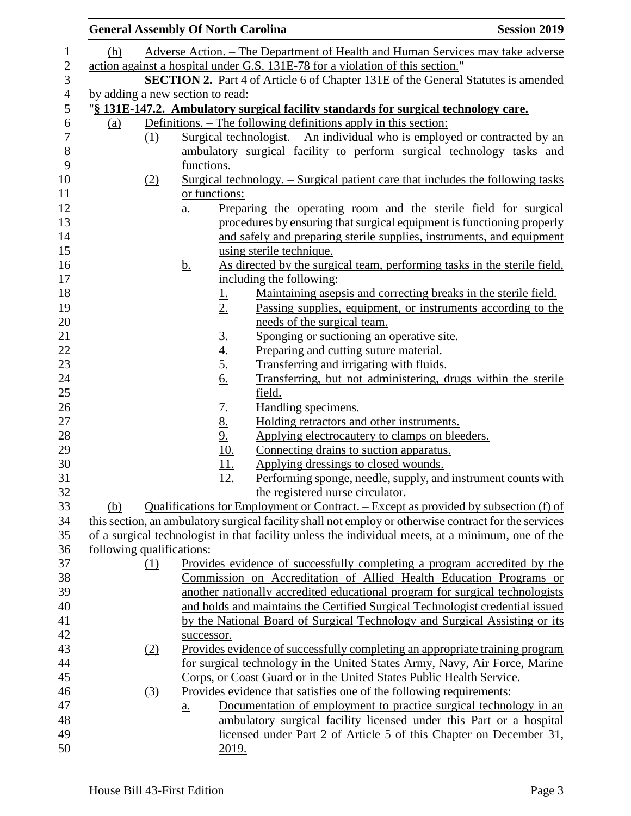|                           |                  | <b>General Assembly Of North Carolina</b>                                    |                                                                                                       | <b>Session 2019</b> |  |
|---------------------------|------------------|------------------------------------------------------------------------------|-------------------------------------------------------------------------------------------------------|---------------------|--|
| (h)                       |                  |                                                                              | Adverse Action. – The Department of Health and Human Services may take adverse                        |                     |  |
|                           |                  |                                                                              | action against a hospital under G.S. 131E-78 for a violation of this section."                        |                     |  |
|                           |                  |                                                                              | SECTION 2. Part 4 of Article 6 of Chapter 131E of the General Statutes is amended                     |                     |  |
|                           |                  | by adding a new section to read:                                             |                                                                                                       |                     |  |
|                           |                  |                                                                              | "§ 131E-147.2. Ambulatory surgical facility standards for surgical technology care.                   |                     |  |
| <u>(a)</u>                |                  |                                                                              | Definitions. – The following definitions apply in this section:                                       |                     |  |
|                           | (1)              |                                                                              | Surgical technologist. - An individual who is employed or contracted by an                            |                     |  |
|                           |                  |                                                                              | ambulatory surgical facility to perform surgical technology tasks and                                 |                     |  |
|                           |                  | functions.                                                                   |                                                                                                       |                     |  |
|                           | (2)              |                                                                              | <u>Surgical technology. – Surgical patient care that includes the following tasks</u>                 |                     |  |
|                           |                  | or functions:                                                                |                                                                                                       |                     |  |
|                           |                  | a.                                                                           | Preparing the operating room and the sterile field for surgical                                       |                     |  |
|                           |                  |                                                                              | procedures by ensuring that surgical equipment is functioning properly                                |                     |  |
|                           |                  |                                                                              | and safely and preparing sterile supplies, instruments, and equipment                                 |                     |  |
|                           |                  |                                                                              | using sterile technique.                                                                              |                     |  |
|                           |                  | <u>b.</u>                                                                    | As directed by the surgical team, performing tasks in the sterile field,                              |                     |  |
|                           |                  |                                                                              | including the following:                                                                              |                     |  |
|                           |                  | <u>1.</u>                                                                    | Maintaining asepsis and correcting breaks in the sterile field.                                       |                     |  |
|                           |                  | 2.                                                                           | Passing supplies, equipment, or instruments according to the                                          |                     |  |
|                           |                  |                                                                              | needs of the surgical team.                                                                           |                     |  |
|                           |                  |                                                                              | Sponging or suctioning an operative site.                                                             |                     |  |
|                           |                  | $rac{3.4}{4.5.6}$                                                            | Preparing and cutting suture material.                                                                |                     |  |
|                           |                  |                                                                              | Transferring and irrigating with fluids.                                                              |                     |  |
|                           |                  |                                                                              | Transferring, but not administering, drugs within the sterile                                         |                     |  |
|                           |                  |                                                                              | field.                                                                                                |                     |  |
|                           |                  |                                                                              | Handling specimens.                                                                                   |                     |  |
|                           |                  |                                                                              | Holding retractors and other instruments.                                                             |                     |  |
|                           |                  |                                                                              | Applying electrocautery to clamps on bleeders.                                                        |                     |  |
|                           |                  | $\frac{7.}{8.}$<br>$\frac{9.}{10.}$<br>$\frac{10.}{11.}$                     | Connecting drains to suction apparatus.                                                               |                     |  |
|                           |                  |                                                                              | Applying dressings to closed wounds.                                                                  |                     |  |
|                           |                  | <u>12.</u>                                                                   | Performing sponge, needle, supply, and instrument counts with                                         |                     |  |
|                           |                  |                                                                              | the registered nurse circulator.                                                                      |                     |  |
| (b)                       |                  |                                                                              | Qualifications for Employment or Contract. – Except as provided by subsection (f) of                  |                     |  |
|                           |                  |                                                                              | this section, an ambulatory surgical facility shall not employ or otherwise contract for the services |                     |  |
|                           |                  |                                                                              | of a surgical technologist in that facility unless the individual meets, at a minimum, one of the     |                     |  |
| following qualifications: |                  |                                                                              |                                                                                                       |                     |  |
|                           | (1)              |                                                                              | Provides evidence of successfully completing a program accredited by the                              |                     |  |
|                           |                  | Commission on Accreditation of Allied Health Education Programs or           |                                                                                                       |                     |  |
|                           |                  | another nationally accredited educational program for surgical technologists |                                                                                                       |                     |  |
|                           |                  |                                                                              | and holds and maintains the Certified Surgical Technologist credential issued                         |                     |  |
|                           |                  |                                                                              | by the National Board of Surgical Technology and Surgical Assisting or its                            |                     |  |
|                           |                  | successor.                                                                   |                                                                                                       |                     |  |
|                           | (2)              | Provides evidence of successfully completing an appropriate training program |                                                                                                       |                     |  |
|                           |                  |                                                                              | for surgical technology in the United States Army, Navy, Air Force, Marine                            |                     |  |
|                           |                  |                                                                              | Corps, or Coast Guard or in the United States Public Health Service.                                  |                     |  |
|                           | $\left(3\right)$ |                                                                              | Provides evidence that satisfies one of the following requirements:                                   |                     |  |
|                           |                  | a.                                                                           | Documentation of employment to practice surgical technology in an                                     |                     |  |
|                           |                  |                                                                              | ambulatory surgical facility licensed under this Part or a hospital                                   |                     |  |
|                           |                  |                                                                              | licensed under Part 2 of Article 5 of this Chapter on December 31,                                    |                     |  |
|                           |                  | 2019.                                                                        |                                                                                                       |                     |  |